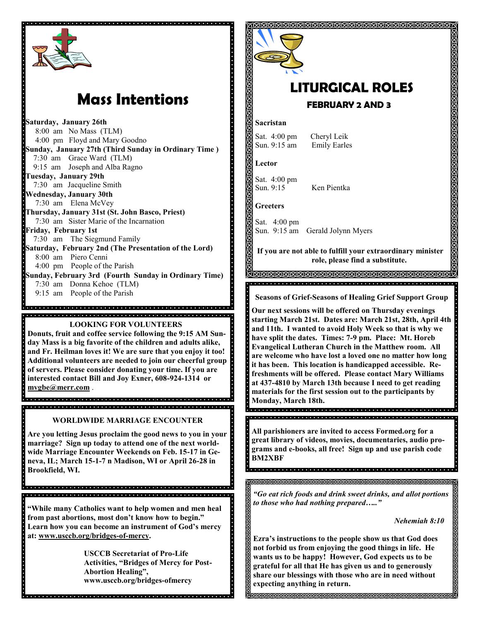

# **Mass Intentions**

**Saturday, January 26th** 8:00 am No Mass (TLM) 4:00 pm Floyd and Mary Goodno **Sunday, January 27th (Third Sunday in Ordinary Time )** 7:30 am Grace Ward (TLM) 9:15 am Joseph and Alba Ragno **Tuesday, January 29th** 7:30 am Jacqueline Smith **Wednesday, January 30th** 7:30 am Elena McVey **Thursday, January 31st (St. John Basco, Priest)** 7:30 am Sister Marie of the Incarnation **Friday, February 1st** 7:30 am The Siegmund Family **Saturday, February 2nd (The Presentation of the Lord)**  8:00 am Piero Cenni 4:00 pm People of the Parish **Sunday, February 3rd (Fourth Sunday in Ordinary Time)** 7:30 am Donna Kehoe (TLM) 9:15 am People of the Parish 

## **LOOKING FOR VOLUNTEERS Donuts, fruit and coffee service following the 9:15 AM Sunday Mass is a big favorite of the children and adults alike, and Fr. Heilman loves it! We are sure that you enjoy it too! Additional volunteers are needed to join our cheerful group of servers. Please consider donating your time. If you are interested contact Bill and Joy Exner, 608-924-1314 or [mvgbe@merr.com](mailto:mvgbe@merr.com)** .

ia dia alama dia dia dia dia dia 400 metatra dia 400 metatra dalama dalama dalama dia dia dia dia dia dia dia

.<br>International de la facta del ciento de la facta del cientro del cientro del cientro del cientro del cientro d **WORLDWIDE MARRIAGE ENCOUNTER**

**Are you letting Jesus proclaim the good news to you in your marriage? Sign up today to attend one of the next worldwide Marriage Encounter Weekends on Feb. 15-17 in Geneva, IL; March 15-1-7 n Madison, WI or April 26-28 in** 

**Brookfield, WI.**

**"While many Catholics want to help women and men heal from past abortions, most don't know how to begin." Learn how you can become an instrument of God's mercy at: www.usccb.org/bridges-of-mercy.**

, a que a que a que a que a que a que a que a que a que a que a que a que a que a que a que a que a que

**USCCB Secretariat of Pro-Life Activities, "Bridges of Mercy for Post-Abortion Healing", www.usccb.org/bridges-ofmercy**



# **LITURGICAL ROLES FEBRUARY 2 AND 3**

## **Sacristan**

Sat. 4:00 pm Cheryl Leik Sun. 9:15 am Emily Earles

**Lector**

Sat. 4:00 pm Sun. 9:15 Ken Pientka

**Greeters**

Sat. 4:00 pm Sun. 9:15 am Gerald Jolynn Myers

**If you are not able to fulfill your extraordinary minister role, please find a substitute.** 

**Seasons of Grief-Seasons of Healing Grief Support Group**

**Our next sessions will be offered on Thursday evenings starting March 21st. Dates are: March 21st, 28th, April 4th and 11th. I wanted to avoid Holy Week so that is why we have split the dates. Times: 7-9 pm. Place: Mt. Horeb Evangelical Lutheran Church in the Matthew room. All are welcome who have lost a loved one no matter how long it has been. This location is handicapped accessible. Refreshments will be offered. Please contact Mary Williams at 437-4810 by March 13th because I need to get reading materials for the first session out to the participants by Monday, March 18th.**

**All parishioners are invited to access Formed.org for a great library of videos, movies, documentaries, audio programs and e-books, all free! Sign up and use parish code BM2XBF**

*"Go eat rich foods and drink sweet drinks, and allot portions to those who had nothing prepared….."*

*Nehemiah 8:10*

**Ezra's instructions to the people show us that God does not forbid us from enjoying the good things in life. He wants us to be happy! However, God expects us to be grateful for all that He has given us and to generously share our blessings with those who are in need without expecting anything in return.** 

**INNANANANANANANANANANA**